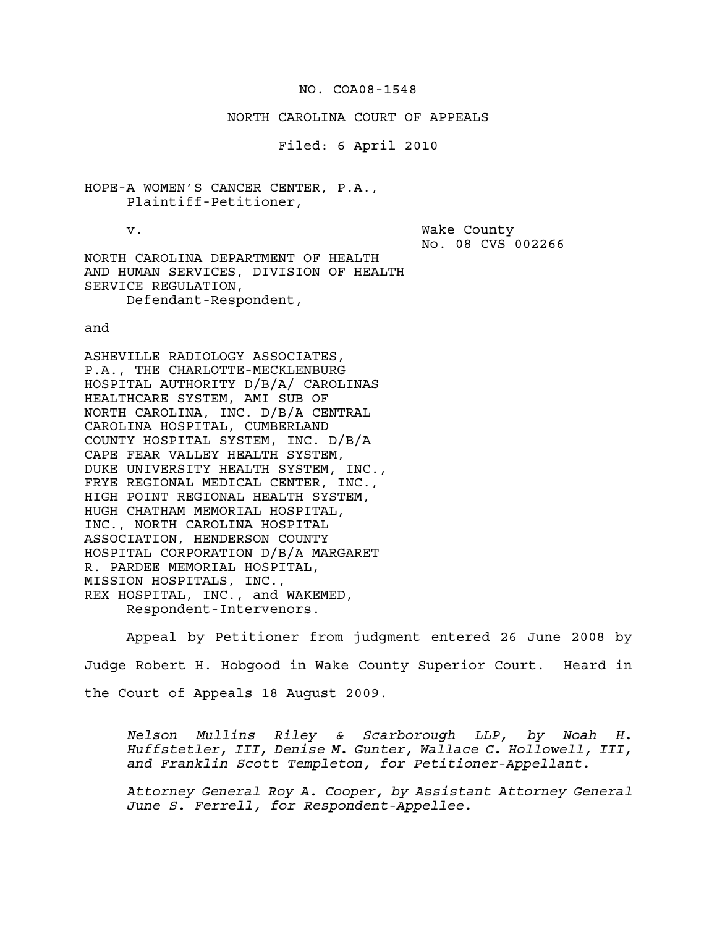## NO. COA08-1548

## NORTH CAROLINA COURT OF APPEALS

Filed: 6 April 2010

HOPE-A WOMEN'S CANCER CENTER, P.A., Plaintiff-Petitioner,

v. Wake County No. 08 CVS 002266

NORTH CAROLINA DEPARTMENT OF HEALTH AND HUMAN SERVICES, DIVISION OF HEALTH SERVICE REGULATION, Defendant-Respondent,

and

ASHEVILLE RADIOLOGY ASSOCIATES, P.A., THE CHARLOTTE-MECKLENBURG HOSPITAL AUTHORITY D/B/A/ CAROLINAS HEALTHCARE SYSTEM, AMI SUB OF NORTH CAROLINA, INC. D/B/A CENTRAL CAROLINA HOSPITAL, CUMBERLAND COUNTY HOSPITAL SYSTEM, INC. D/B/A CAPE FEAR VALLEY HEALTH SYSTEM, DUKE UNIVERSITY HEALTH SYSTEM, INC., FRYE REGIONAL MEDICAL CENTER, INC., HIGH POINT REGIONAL HEALTH SYSTEM, HUGH CHATHAM MEMORIAL HOSPITAL, INC., NORTH CAROLINA HOSPITAL ASSOCIATION, HENDERSON COUNTY HOSPITAL CORPORATION D/B/A MARGARET R. PARDEE MEMORIAL HOSPITAL, MISSION HOSPITALS, INC., REX HOSPITAL, INC., and WAKEMED, Respondent-Intervenors.

Appeal by Petitioner from judgment entered 26 June 2008 by Judge Robert H. Hobgood in Wake County Superior Court. Heard in the Court of Appeals 18 August 2009.

*Nelson Mullins Riley & Scarborough LLP, by Noah H. Huffstetler, III, Denise M. Gunter, Wallace C. Hollowell, III, and Franklin Scott Templeton, for Petitioner-Appellant.* 

*Attorney General Roy A. Cooper, by Assistant Attorney General June S. Ferrell, for Respondent-Appellee.*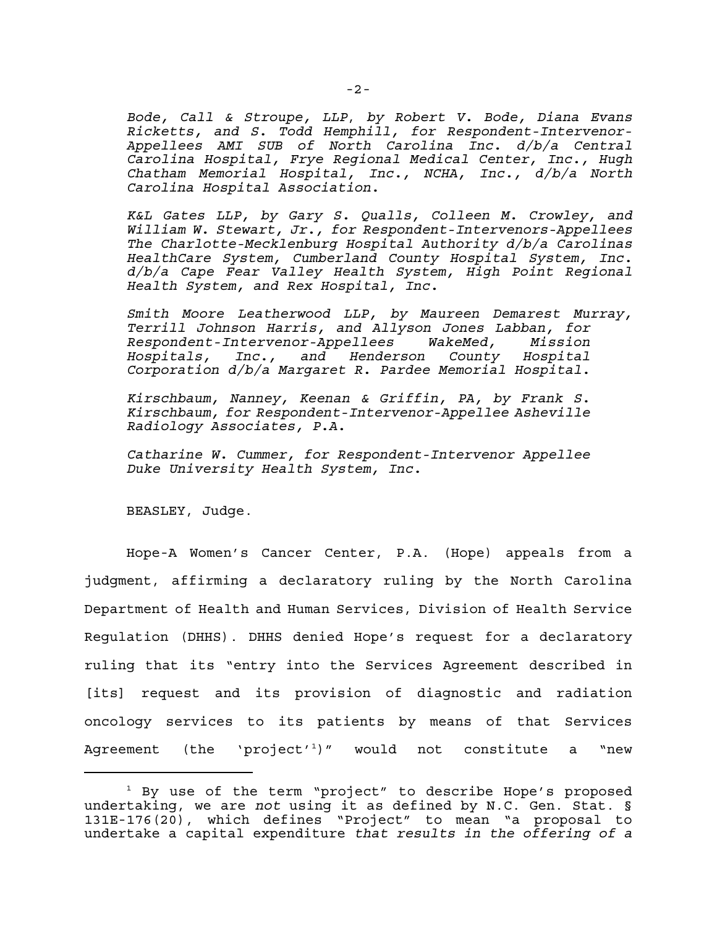*Bode, Call & Stroupe, LLP*, *by Robert V. Bode, Diana Evans Ricketts, and S. Todd Hemphill, for Respondent-Intervenor-Appellees AMI SUB of North Carolina Inc. d/b/a Central Carolina Hospital, Frye Regional Medical Center, Inc., Hugh Chatham Memorial Hospital, Inc., NCHA, Inc., d/b/a North Carolina Hospital Association.*

*K&L Gates LLP, by Gary S. Qualls, Colleen M. Crowley, and William W. Stewart, Jr., for Respondent-Intervenors-Appellees The Charlotte-Mecklenburg Hospital Authority d/b/a Carolinas HealthCare System, Cumberland County Hospital System, Inc. d/b/a Cape Fear Valley Health System, High Point Regional Health System, and Rex Hospital, Inc.*

*Smith Moore Leatherwood LLP, by Maureen Demarest Murray, Terrill Johnson Harris, and Allyson Jones Labban, for Respondent-Intervenor-Appellees WakeMed, Mission Hospitals, Inc., and Henderson County Hospital Corporation d/b/a Margaret R. Pardee Memorial Hospital.*

*Kirschbaum, Nanney, Keenan & Griffin, PA, by Frank S. Kirschbaum, for Respondent-Intervenor-Appellee Asheville Radiology Associates, P.A.*

*Catharine W. Cummer, for Respondent-Intervenor Appellee Duke University Health System, Inc.*

BEASLEY, Judge.

Hope-A Women's Cancer Center, P.A. (Hope) appeals from a judgment, affirming a declaratory ruling by the North Carolina Department of Health and Human Services, Division of Health Service Regulation (DHHS). DHHS denied Hope's request for a declaratory ruling that its "entry into the Services Agreement described in [its] request and its provision of diagnostic and radiation oncology services to its patients by means of that Services Agreement (the 'project'<sup>1</sup>)" would not constitute a "new

<sup>&</sup>lt;sup>1</sup> By use of the term "project" to describe Hope's proposed undertaking, we are *not* using it as defined by N.C. Gen. Stat. § 131E-176(20), which defines "Project" to mean "a proposal to undertake a capital expenditure *that results in the offering of a*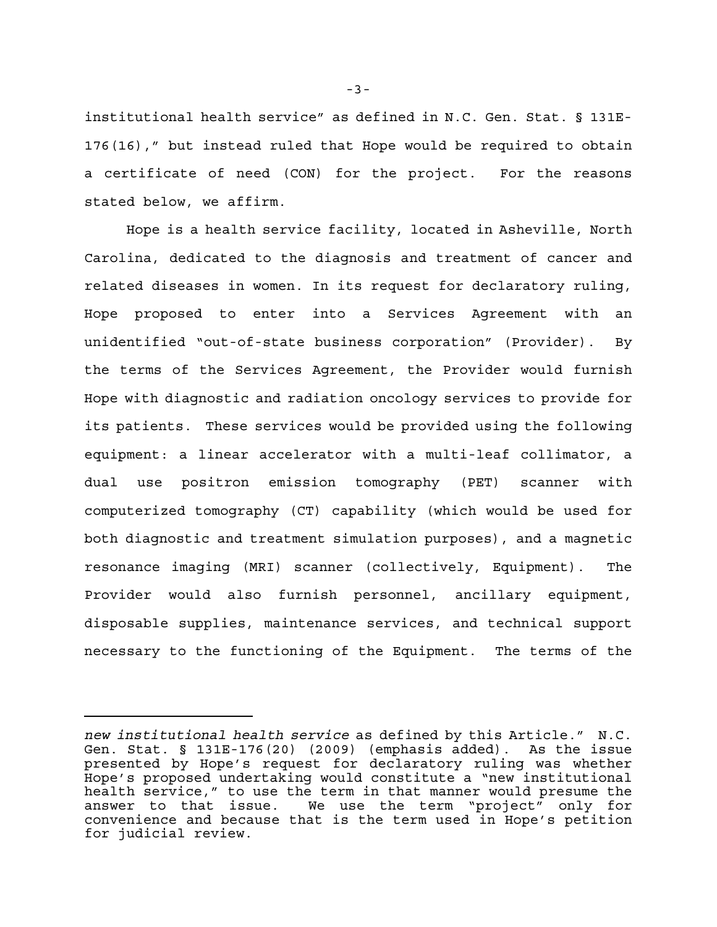institutional health service" as defined in N.C. Gen. Stat. § 131E-176(16)," but instead ruled that Hope would be required to obtain a certificate of need (CON) for the project. For the reasons stated below, we affirm.

Hope is a health service facility, located in Asheville, North Carolina, dedicated to the diagnosis and treatment of cancer and related diseases in women. In its request for declaratory ruling, Hope proposed to enter into a Services Agreement with an unidentified "out-of-state business corporation" (Provider). By the terms of the Services Agreement, the Provider would furnish Hope with diagnostic and radiation oncology services to provide for its patients. These services would be provided using the following equipment: a linear accelerator with a multi-leaf collimator, a dual use positron emission tomography (PET) scanner with computerized tomography (CT) capability (which would be used for both diagnostic and treatment simulation purposes), and a magnetic resonance imaging (MRI) scanner (collectively, Equipment). The Provider would also furnish personnel, ancillary equipment, disposable supplies, maintenance services, and technical support necessary to the functioning of the Equipment. The terms of the

-3-

*new institutional health service* as defined by this Article." N.C. Gen. Stat. § 131E-176(20) (2009) (emphasis added). As the issue presented by Hope's request for declaratory ruling was whether Hope's proposed undertaking would constitute a "new institutional health service," to use the term in that manner would presume the answer to that issue. We use the term "project" only for convenience and because that is the term used in Hope's petition for judicial review.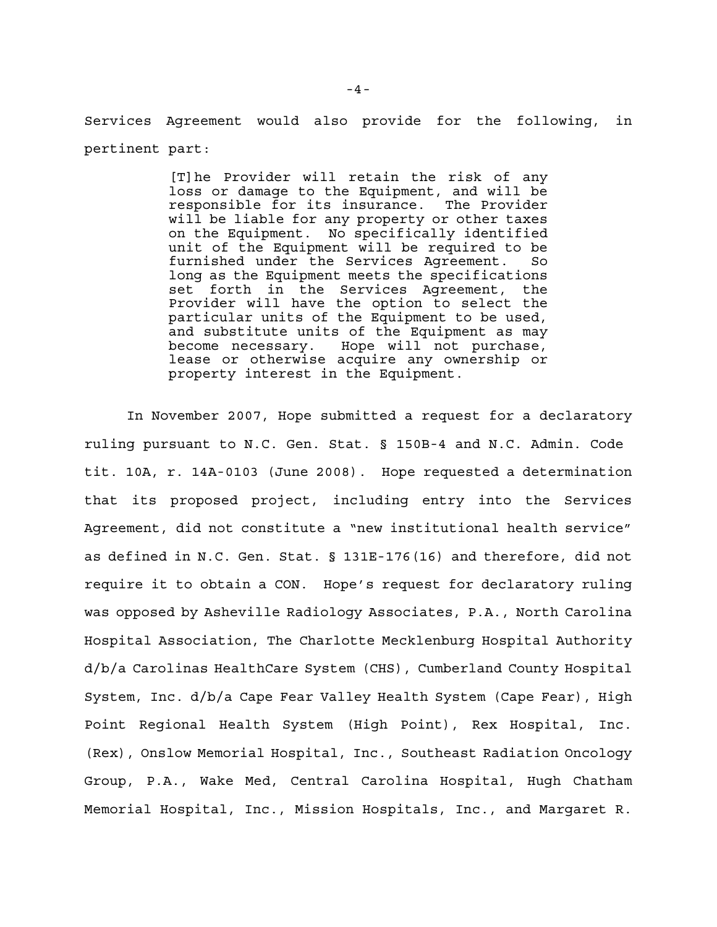Services Agreement would also provide for the following, in pertinent part:

> [T]he Provider will retain the risk of any loss or damage to the Equipment, and will be responsible for its insurance. The Provider will be liable for any property or other taxes on the Equipment. No specifically identified unit of the Equipment will be required to be furnished under the Services Agreement. So long as the Equipment meets the specifications set forth in the Services Agreement, the Provider will have the option to select the particular units of the Equipment to be used, and substitute units of the Equipment as may become necessary. Hope will not purchase, lease or otherwise acquire any ownership or property interest in the Equipment.

In November 2007, Hope submitted a request for a declaratory ruling pursuant to N.C. Gen. Stat. § 150B-4 and N.C. Admin. Code tit. 10A, r. 14A-0103 (June 2008). Hope requested a determination that its proposed project, including entry into the Services Agreement, did not constitute a "new institutional health service" as defined in N.C. Gen. Stat. § 131E-176(16) and therefore, did not require it to obtain a CON. Hope's request for declaratory ruling was opposed by Asheville Radiology Associates, P.A., North Carolina Hospital Association, The Charlotte Mecklenburg Hospital Authority d/b/a Carolinas HealthCare System (CHS), Cumberland County Hospital System, Inc. d/b/a Cape Fear Valley Health System (Cape Fear), High Point Regional Health System (High Point), Rex Hospital, Inc. (Rex), Onslow Memorial Hospital, Inc., Southeast Radiation Oncology Group, P.A., Wake Med, Central Carolina Hospital, Hugh Chatham Memorial Hospital, Inc., Mission Hospitals, Inc., and Margaret R.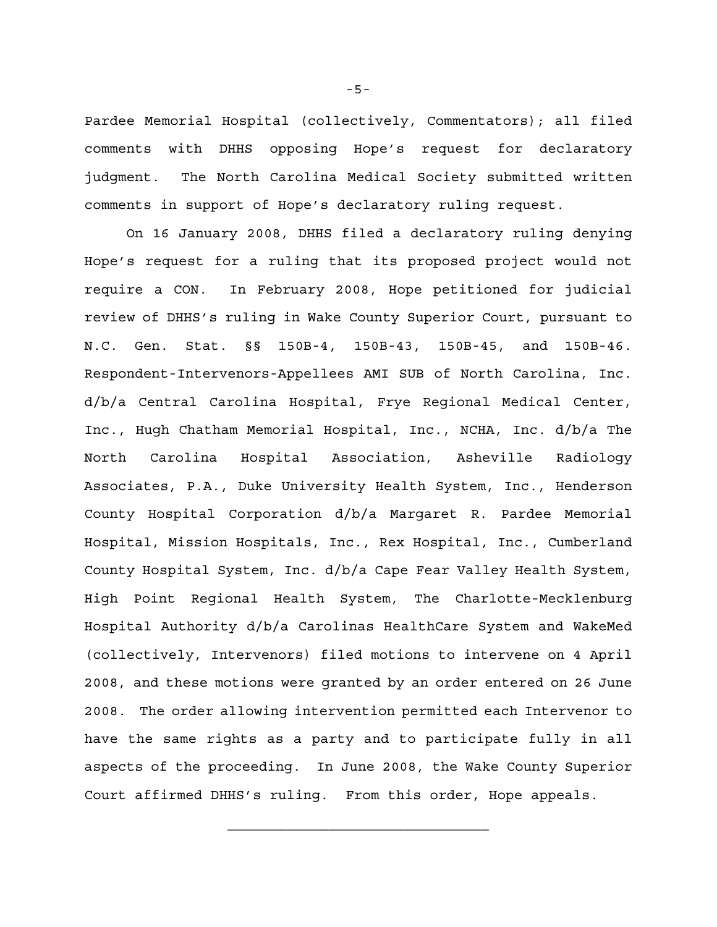Pardee Memorial Hospital (collectively, Commentators); all filed comments with DHHS opposing Hope's request for declaratory judgment. The North Carolina Medical Society submitted written comments in support of Hope's declaratory ruling request.

On 16 January 2008, DHHS filed a declaratory ruling denying Hope's request for a ruling that its proposed project would not require a CON. In February 2008, Hope petitioned for judicial review of DHHS's ruling in Wake County Superior Court, pursuant to N.C. Gen. Stat. §§ 150B-4, 150B-43, 150B-45, and 150B-46. Respondent-Intervenors-Appellees AMI SUB of North Carolina, Inc. d/b/a Central Carolina Hospital, Frye Regional Medical Center, Inc., Hugh Chatham Memorial Hospital, Inc., NCHA, Inc. d/b/a The North Carolina Hospital Association, Asheville Radiology Associates, P.A., Duke University Health System, Inc., Henderson County Hospital Corporation d/b/a Margaret R. Pardee Memorial Hospital, Mission Hospitals, Inc., Rex Hospital, Inc., Cumberland County Hospital System, Inc. d/b/a Cape Fear Valley Health System, High Point Regional Health System, The Charlotte-Mecklenburg Hospital Authority d/b/a Carolinas HealthCare System and WakeMed (collectively, Intervenors) filed motions to intervene on 4 April 2008, and these motions were granted by an order entered on 26 June 2008. The order allowing intervention permitted each Intervenor to have the same rights as a party and to participate fully in all aspects of the proceeding. In June 2008, the Wake County Superior Court affirmed DHHS's ruling. From this order, Hope appeals.

-5-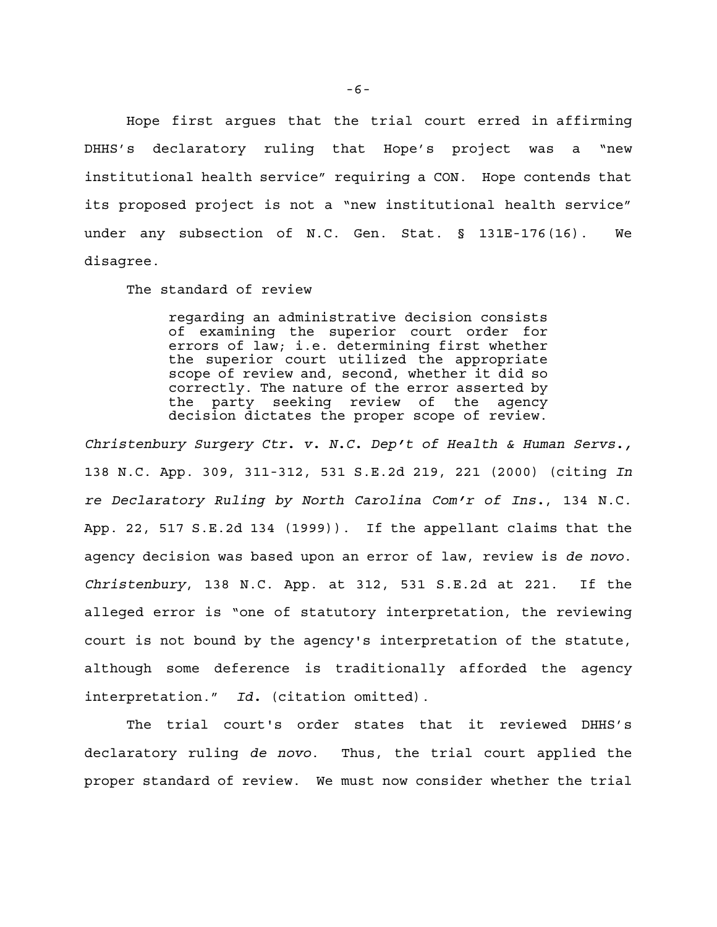Hope first argues that the trial court erred in affirming DHHS's declaratory ruling that Hope's project was a "new institutional health service" requiring a CON. Hope contends that its proposed project is not a "new institutional health service" under any subsection of N.C. Gen. Stat. § 131E-176(16). We disagree.

The standard of review

regarding an administrative decision consists of examining the superior court order for errors of law; i.e. determining first whether the superior court utilized the appropriate scope of review and, second, whether it did so correctly. The nature of the error asserted by the party seeking review of the agency decision dictates the proper scope of review.

*Christenbury Surgery Ctr. v. N.C. Dep't of Health & Human Servs.,* 138 N.C. App. 309, 311-312, 531 S.E.2d 219, 221 (2000) (citing *In re Declaratory Ruling by North Carolina Com'r of Ins.*, 134 N.C. App. 22, 517 S.E.2d 134 (1999)). If the appellant claims that the agency decision was based upon an error of law, review is *de novo*. *Christenbury*, 138 N.C. App. at 312, 531 S.E.2d at 221. If the alleged error is "one of statutory interpretation, the reviewing court is not bound by the agency's interpretation of the statute, although some deference is traditionally afforded the agency interpretation." *Id.* (citation omitted).

The trial court's order states that it reviewed DHHS's declaratory ruling *de novo*. Thus, the trial court applied the proper standard of review. We must now consider whether the trial

-6-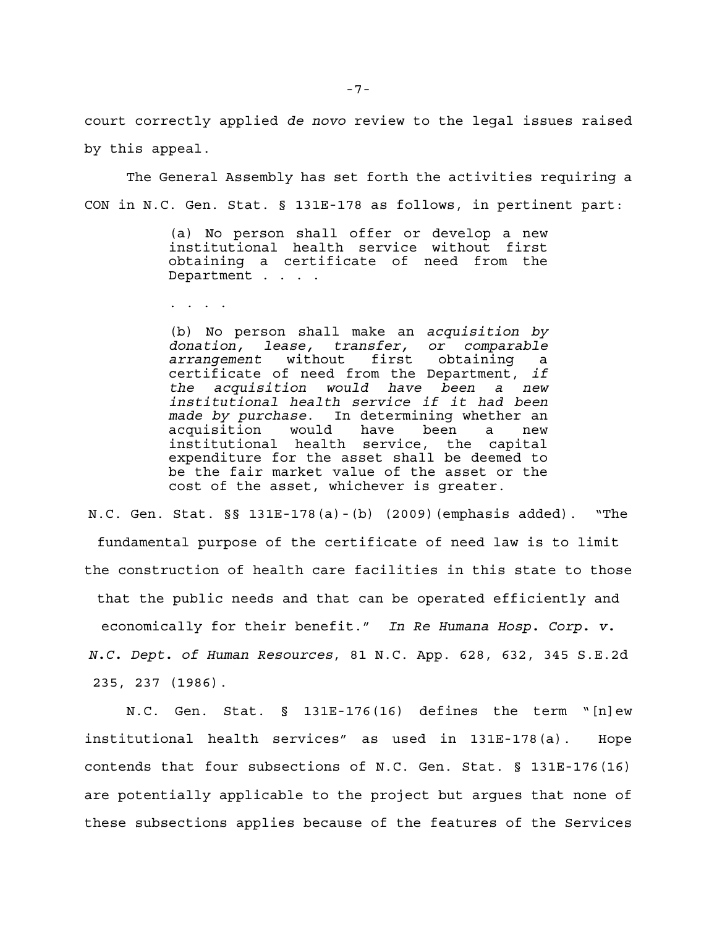court correctly applied *de novo* review to the legal issues raised by this appeal.

The General Assembly has set forth the activities requiring a CON in N.C. Gen. Stat. § 131E-178 as follows, in pertinent part:

> (a) No person shall offer or develop a new institutional health service without first obtaining a certificate of need from the Department . . . .

. . . .

(b) No person shall make an *acquisition by donation, lease, transfer, or comparable arrangement* without first obtaining a certificate of need from the Department, *if the acquisition would have been a new institutional health service if it had been made by purchase*. In determining whether an acquisition would have been a new institutional health service, the capital expenditure for the asset shall be deemed to be the fair market value of the asset or the cost of the asset, whichever is greater.

N.C. Gen. Stat. §§ 131E-178(a)-(b) (2009)(emphasis added). "The fundamental purpose of the certificate of need law is to limit the construction of health care facilities in this state to those that the public needs and that can be operated efficiently and economically for their benefit." *In Re Humana Hosp. Corp. v. N.C. Dept. of Human Resources*, 81 N.C. App. 628, 632, 345 S.E.2d 235, 237 (1986).

N.C. Gen. Stat. § 131E-176(16) defines the term "[n]ew institutional health services" as used in 131E-178(a). Hope contends that four subsections of N.C. Gen. Stat. § 131E-176(16) are potentially applicable to the project but argues that none of these subsections applies because of the features of the Services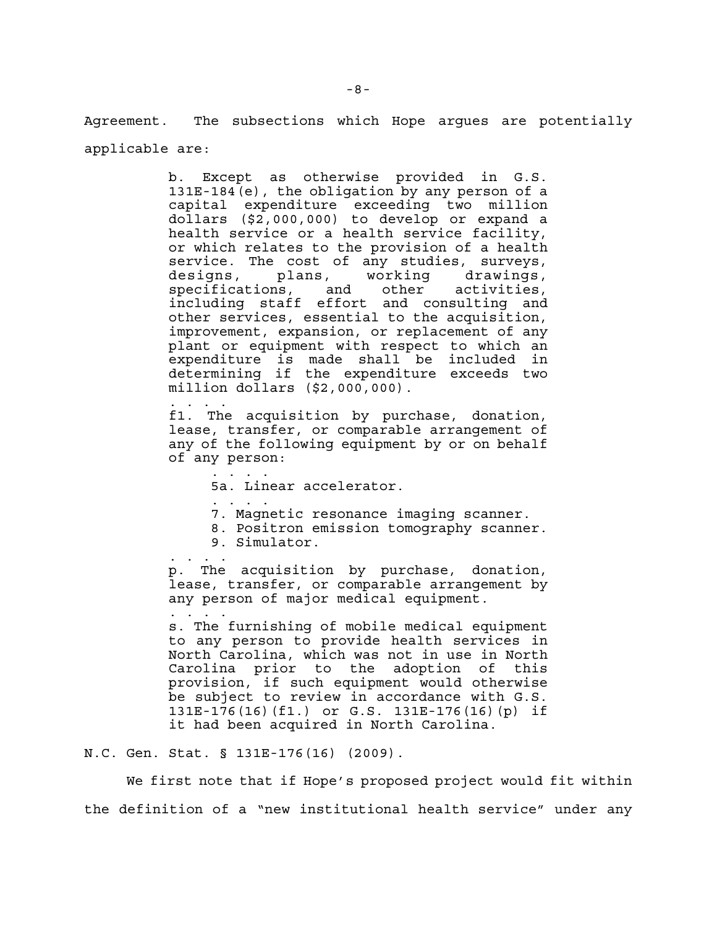Agreement. The subsections which Hope argues are potentially applicable are:

> b. Except as otherwise provided in G.S. 131E-184(e), the obligation by any person of a capital expenditure exceeding two million dollars (\$2,000,000) to develop or expand a health service or a health service facility, or which relates to the provision of a health service. The cost of any studies, surveys,<br>designs, plans, working drawings, designs, plans, working drawings, specifications, and other activities, including staff effort and consulting and other services, essential to the acquisition, improvement, expansion, or replacement of any plant or equipment with respect to which an expenditure is made shall be included in determining if the expenditure exceeds two million dollars (\$2,000,000).

. . . . f1. The acquisition by purchase, donation, lease, transfer, or comparable arrangement of any of the following equipment by or on behalf of any person:

- . . . . 5a. Linear accelerator.
- . . . . 7. Magnetic resonance imaging scanner.
- 8. Positron emission tomography scanner.
- 9. Simulator.

. . . . p. The acquisition by purchase, donation, lease, transfer, or comparable arrangement by any person of major medical equipment.

s. The furnishing of mobile medical equipment to any person to provide health services in North Carolina, which was not in use in North Carolina prior to the adoption of this provision, if such equipment would otherwise be subject to review in accordance with G.S. 131E-176(16)(f1.) or G.S. 131E-176(16)(p) if it had been acquired in North Carolina.

N.C. Gen. Stat. § 131E-176(16) (2009).

. . . .

We first note that if Hope's proposed project would fit within the definition of a "new institutional health service" under any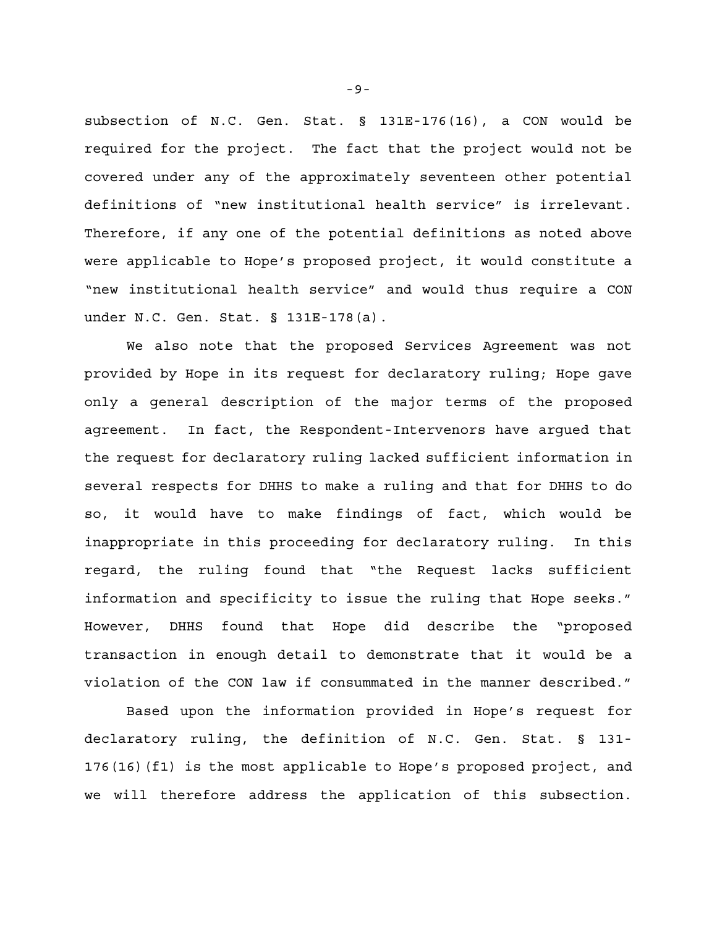subsection of N.C. Gen. Stat. § 131E-176(16), a CON would be required for the project. The fact that the project would not be covered under any of the approximately seventeen other potential definitions of "new institutional health service" is irrelevant. Therefore, if any one of the potential definitions as noted above were applicable to Hope's proposed project, it would constitute a "new institutional health service" and would thus require a CON under N.C. Gen. Stat. § 131E-178(a).

We also note that the proposed Services Agreement was not provided by Hope in its request for declaratory ruling; Hope gave only a general description of the major terms of the proposed agreement. In fact, the Respondent-Intervenors have argued that the request for declaratory ruling lacked sufficient information in several respects for DHHS to make a ruling and that for DHHS to do so, it would have to make findings of fact, which would be inappropriate in this proceeding for declaratory ruling. In this regard, the ruling found that "the Request lacks sufficient information and specificity to issue the ruling that Hope seeks." However, DHHS found that Hope did describe the "proposed transaction in enough detail to demonstrate that it would be a violation of the CON law if consummated in the manner described."

Based upon the information provided in Hope's request for declaratory ruling, the definition of N.C. Gen. Stat. § 131- 176(16)(f1) is the most applicable to Hope's proposed project, and we will therefore address the application of this subsection.

-9-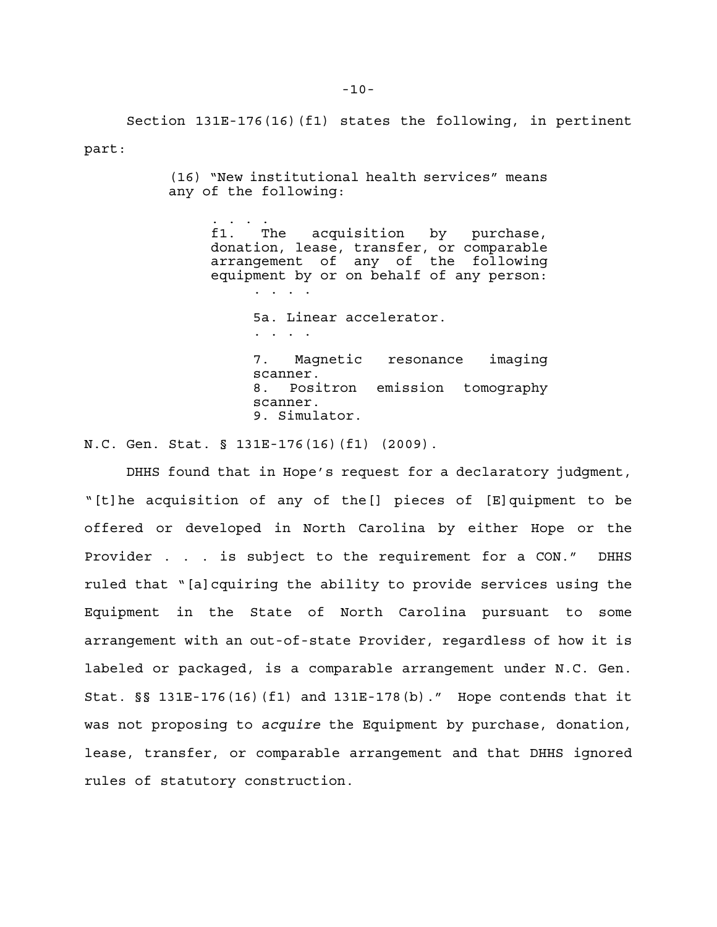Section 131E-176(16)(f1) states the following, in pertinent part:

> (16) "New institutional health services" means any of the following:

> > . . . . f1. The acquisition by purchase, donation, lease, transfer, or comparable arrangement of any of the following equipment by or on behalf of any person: . . . . 5a. Linear accelerator.

> > > . . . . 7. Magnetic resonance imaging scanner. 8. Positron emission tomography scanner. 9. Simulator.

N.C. Gen. Stat. § 131E-176(16)(f1) (2009).

DHHS found that in Hope's request for a declaratory judgment, "[t]he acquisition of any of the[] pieces of [E]quipment to be offered or developed in North Carolina by either Hope or the Provider . . . is subject to the requirement for a CON." DHHS ruled that "[a]cquiring the ability to provide services using the Equipment in the State of North Carolina pursuant to some arrangement with an out-of-state Provider, regardless of how it is labeled or packaged, is a comparable arrangement under N.C. Gen. Stat. §§ 131E-176(16)(f1) and 131E-178(b)." Hope contends that it was not proposing to *acquire* the Equipment by purchase, donation, lease, transfer, or comparable arrangement and that DHHS ignored rules of statutory construction.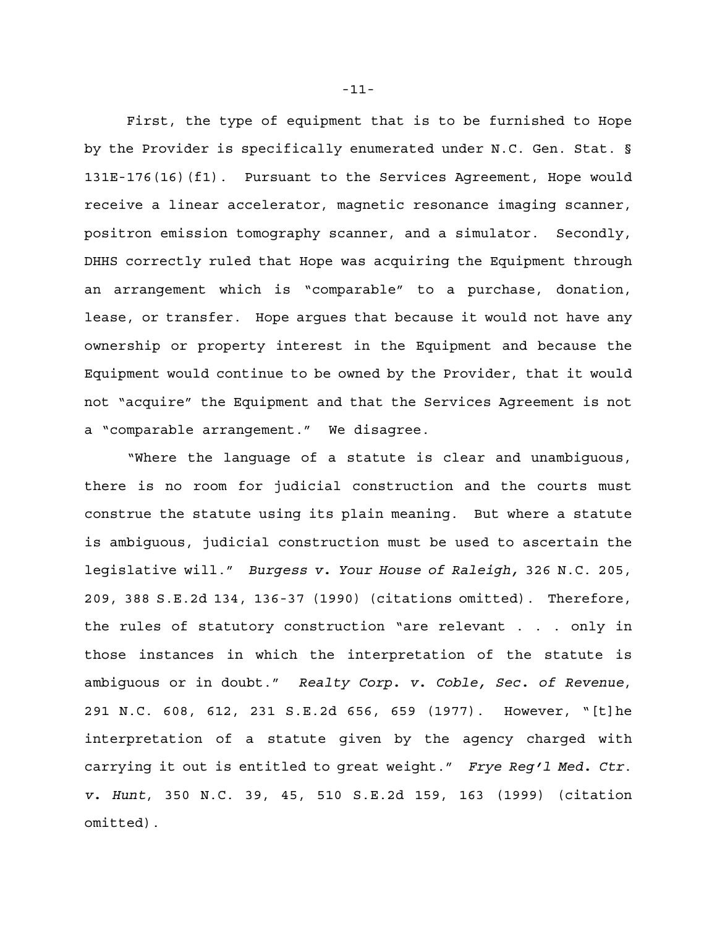First, the type of equipment that is to be furnished to Hope by the Provider is specifically enumerated under N.C. Gen. Stat. § 131E-176(16)(f1). Pursuant to the Services Agreement, Hope would receive a linear accelerator, magnetic resonance imaging scanner, positron emission tomography scanner, and a simulator. Secondly, DHHS correctly ruled that Hope was acquiring the Equipment through an arrangement which is "comparable" to a purchase, donation, lease, or transfer. Hope argues that because it would not have any ownership or property interest in the Equipment and because the Equipment would continue to be owned by the Provider, that it would not "acquire" the Equipment and that the Services Agreement is not a "comparable arrangement." We disagree.

"Where the language of a statute is clear and unambiguous, there is no room for judicial construction and the courts must construe the statute using its plain meaning. But where a statute is ambiguous, judicial construction must be used to ascertain the legislative will." *Burgess v. Your House of Raleigh,* 326 N.C. 205, 209, 388 S.E.2d 134, 136-37 (1990) (citations omitted). Therefore, the rules of statutory construction "are relevant . . . only in those instances in which the interpretation of the statute is ambiguous or in doubt." *Realty Corp. v. Coble, Sec. of Revenue*, 291 N.C. 608, 612, 231 S.E.2d 656, 659 (1977). However, "[t]he interpretation of a statute given by the agency charged with carrying it out is entitled to great weight." *Frye Reg'l Med. Ctr*. *v. Hunt*, 350 N.C. 39, 45, 510 S.E.2d 159, 163 (1999) (citation omitted).

-11-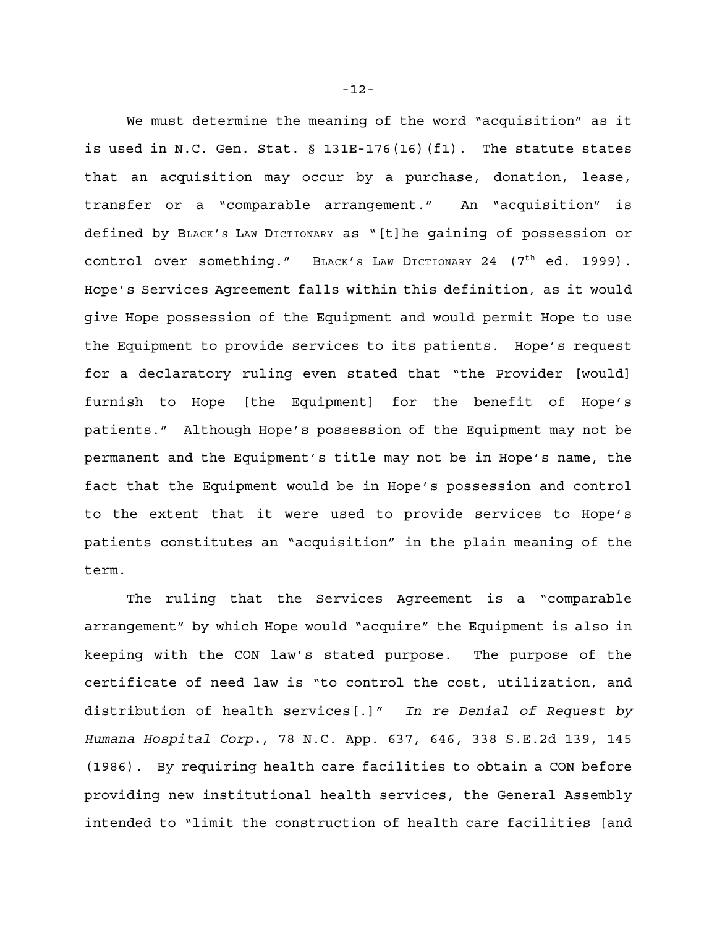We must determine the meaning of the word "acquisition" as it is used in N.C. Gen. Stat. § 131E-176(16)(f1). The statute states that an acquisition may occur by a purchase, donation, lease, transfer or a "comparable arrangement." An "acquisition" is defined by BLACK'S LAW DICTIONARY as "[t]he gaining of possession or control over something." BLACK's LAW DICTIONARY 24 (7<sup>th</sup> ed. 1999). Hope's Services Agreement falls within this definition, as it would give Hope possession of the Equipment and would permit Hope to use the Equipment to provide services to its patients. Hope's request for a declaratory ruling even stated that "the Provider [would] furnish to Hope [the Equipment] for the benefit of Hope's patients." Although Hope's possession of the Equipment may not be permanent and the Equipment's title may not be in Hope's name, the fact that the Equipment would be in Hope's possession and control to the extent that it were used to provide services to Hope's patients constitutes an "acquisition" in the plain meaning of the term.

The ruling that the Services Agreement is a "comparable arrangement" by which Hope would "acquire" the Equipment is also in keeping with the CON law's stated purpose. The purpose of the certificate of need law is "to control the cost, utilization, and distribution of health services[.]" *In re Denial of Request by Humana Hospital Corp.*, 78 N.C. App. 637, 646, 338 S.E.2d 139, 145 (1986). By requiring health care facilities to obtain a CON before providing new institutional health services, the General Assembly intended to "limit the construction of health care facilities [and

-12-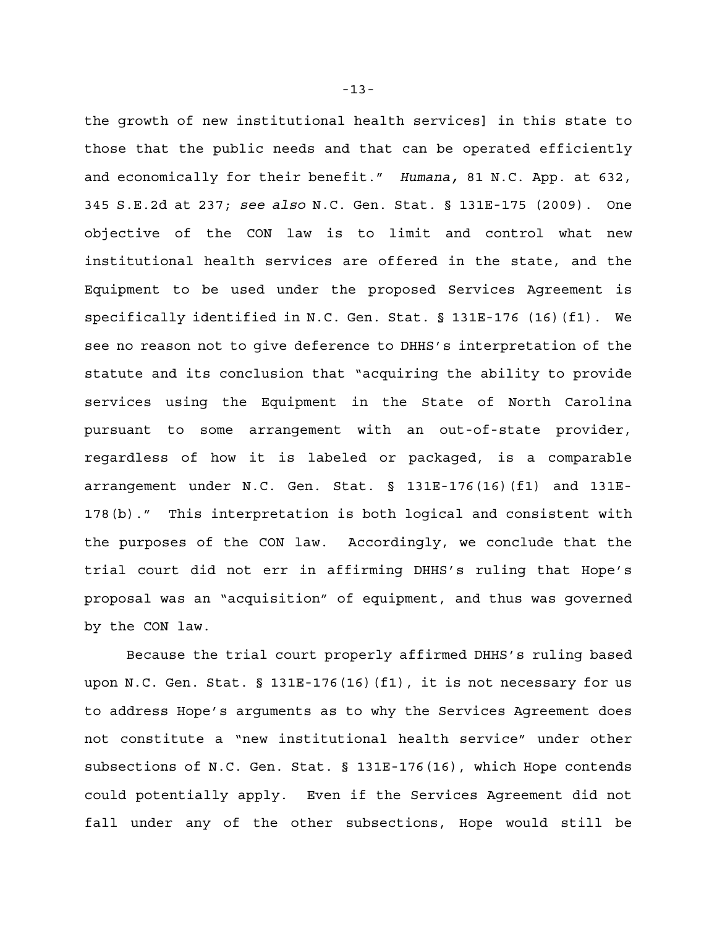the growth of new institutional health services] in this state to those that the public needs and that can be operated efficiently and economically for their benefit." *Humana,* 81 N.C. App. at 632, 345 S.E.2d at 237; *see also* N.C. Gen. Stat. § 131E-175 (2009). One objective of the CON law is to limit and control what new institutional health services are offered in the state, and the Equipment to be used under the proposed Services Agreement is specifically identified in N.C. Gen. Stat. § 131E-176 (16)(f1). We see no reason not to give deference to DHHS's interpretation of the statute and its conclusion that "acquiring the ability to provide services using the Equipment in the State of North Carolina pursuant to some arrangement with an out-of-state provider, regardless of how it is labeled or packaged, is a comparable arrangement under N.C. Gen. Stat. § 131E-176(16)(f1) and 131E-178(b)." This interpretation is both logical and consistent with the purposes of the CON law. Accordingly, we conclude that the trial court did not err in affirming DHHS's ruling that Hope's proposal was an "acquisition" of equipment, and thus was governed by the CON law.

Because the trial court properly affirmed DHHS's ruling based upon N.C. Gen. Stat. § 131E-176(16)(f1), it is not necessary for us to address Hope's arguments as to why the Services Agreement does not constitute a "new institutional health service" under other subsections of N.C. Gen. Stat. § 131E-176(16), which Hope contends could potentially apply. Even if the Services Agreement did not fall under any of the other subsections, Hope would still be

-13-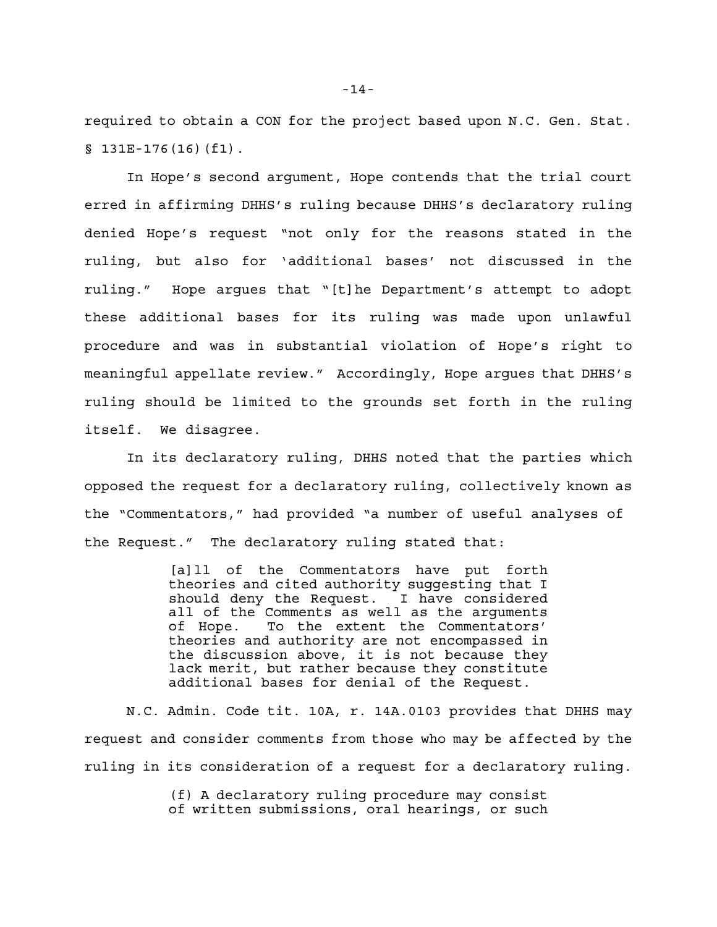required to obtain a CON for the project based upon N.C. Gen. Stat. § 131E-176(16)(f1).

In Hope's second argument, Hope contends that the trial court erred in affirming DHHS's ruling because DHHS's declaratory ruling denied Hope's request "not only for the reasons stated in the ruling, but also for 'additional bases' not discussed in the ruling." Hope argues that "[t]he Department's attempt to adopt these additional bases for its ruling was made upon unlawful procedure and was in substantial violation of Hope's right to meaningful appellate review." Accordingly, Hope argues that DHHS's ruling should be limited to the grounds set forth in the ruling itself. We disagree.

In its declaratory ruling, DHHS noted that the parties which opposed the request for a declaratory ruling, collectively known as the "Commentators," had provided "a number of useful analyses of the Request." The declaratory ruling stated that:

> [a]ll of the Commentators have put forth theories and cited authority suggesting that I should deny the Request. I have considered all of the Comments as well as the arguments of Hope. To the extent the Commentators' theories and authority are not encompassed in the discussion above, it is not because they lack merit, but rather because they constitute additional bases for denial of the Request.

N.C. Admin. Code tit. 10A, r. 14A.0103 provides that DHHS may request and consider comments from those who may be affected by the ruling in its consideration of a request for a declaratory ruling.

> (f) A declaratory ruling procedure may consist of written submissions, oral hearings, or such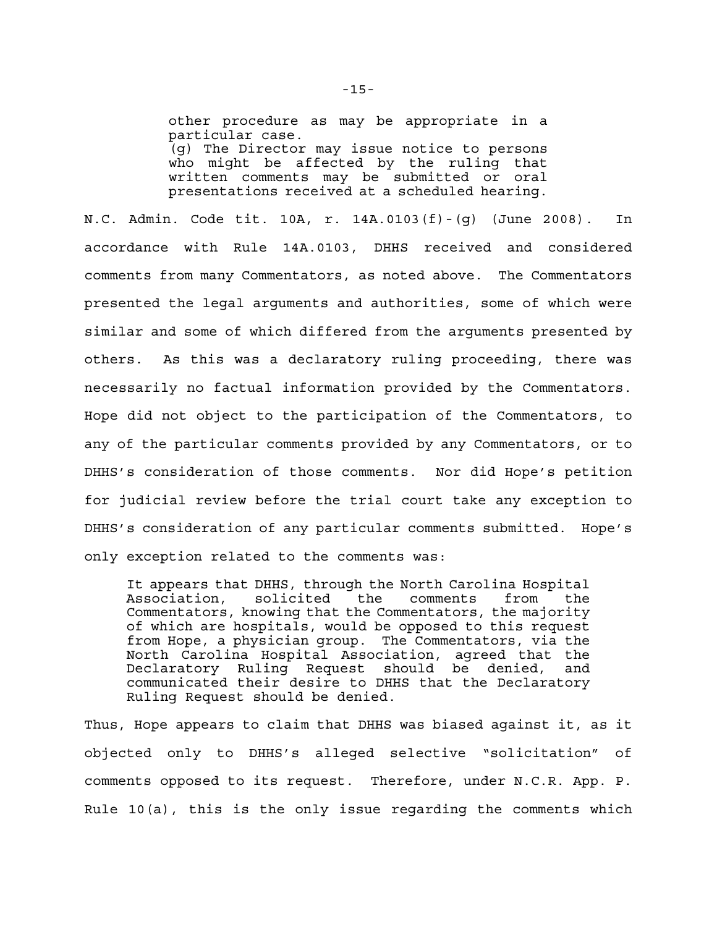other procedure as may be appropriate in a particular case. (g) The Director may issue notice to persons who might be affected by the ruling that written comments may be submitted or oral presentations received at a scheduled hearing.

N.C. Admin. Code tit. 10A, r. 14A.0103(f)-(g) (June 2008). In accordance with Rule 14A.0103, DHHS received and considered comments from many Commentators, as noted above. The Commentators presented the legal arguments and authorities, some of which were similar and some of which differed from the arguments presented by others. As this was a declaratory ruling proceeding, there was necessarily no factual information provided by the Commentators. Hope did not object to the participation of the Commentators, to any of the particular comments provided by any Commentators, or to DHHS's consideration of those comments. Nor did Hope's petition for judicial review before the trial court take any exception to DHHS's consideration of any particular comments submitted. Hope's only exception related to the comments was:

It appears that DHHS, through the North Carolina Hospital Association, solicited the comments from the Commentators, knowing that the Commentators, the majority of which are hospitals, would be opposed to this request from Hope, a physician group. The Commentators, via the North Carolina Hospital Association, agreed that the Declaratory Ruling Request should be denied, and communicated their desire to DHHS that the Declaratory Ruling Request should be denied.

Thus, Hope appears to claim that DHHS was biased against it, as it objected only to DHHS's alleged selective "solicitation" of comments opposed to its request. Therefore, under N.C.R. App. P. Rule 10(a), this is the only issue regarding the comments which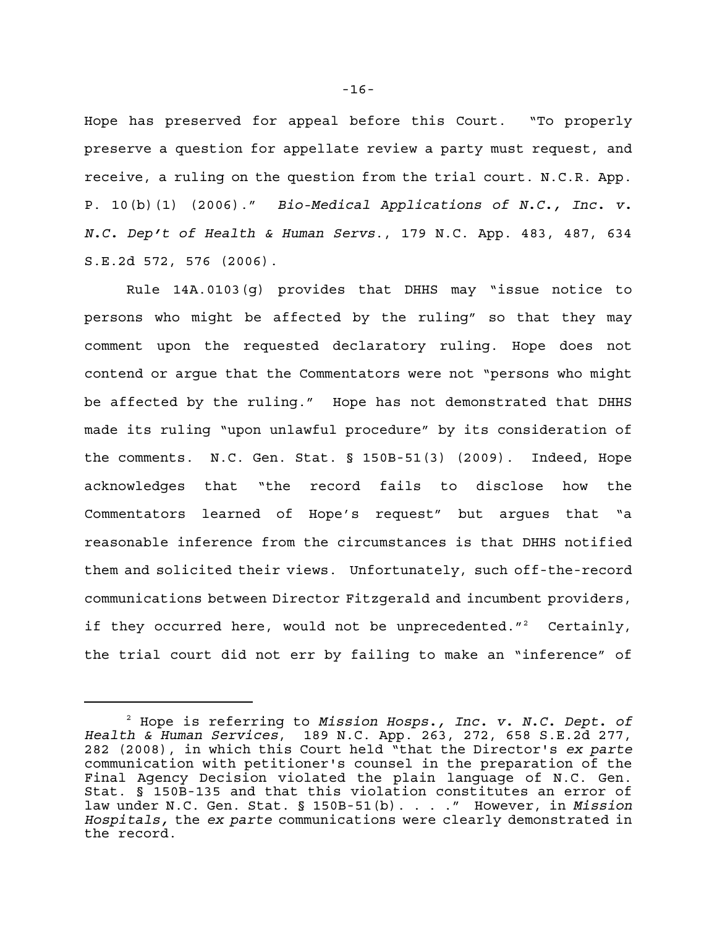Hope has preserved for appeal before this Court. "To properly preserve a question for appellate review a party must request, and receive, a ruling on the question from the trial court. N.C.R. App. P. 10(b)(1) (2006)." *Bio-Medical Applications of N.C., Inc. v. N.C. Dep't of Health & Human Servs*., 179 N.C. App. 483, 487, 634 S.E.2d 572, 576 (2006).

Rule 14A.0103(g) provides that DHHS may "issue notice to persons who might be affected by the ruling" so that they may comment upon the requested declaratory ruling. Hope does not contend or argue that the Commentators were not "persons who might be affected by the ruling." Hope has not demonstrated that DHHS made its ruling "upon unlawful procedure" by its consideration of the comments. N.C. Gen. Stat. § 150B-51(3) (2009). Indeed, Hope acknowledges that "the record fails to disclose how the Commentators learned of Hope's request" but argues that "a reasonable inference from the circumstances is that DHHS notified them and solicited their views. Unfortunately, such off-the-record communications between Director Fitzgerald and incumbent providers, if they occurred here, would not be unprecedented."<sup>2</sup> Certainly, the trial court did not err by failing to make an "inference" of

Hope is referring to *Mission Hosps., Inc. v. N.C. Dept. of* <sup>2</sup> *Health & Human Services*, 189 N.C. App. 263, 272, 658 S.E.2d 277, 282 (2008), in which this Court held "that the Director's *ex parte* communication with petitioner's counsel in the preparation of the Final Agency Decision violated the plain language of N.C. Gen. Stat. § 150B-135 and that this violation constitutes an error of law under N.C. Gen. Stat. § 150B-51(b). . . ." However, in *Mission Hospitals,* the *ex parte* communications were clearly demonstrated in the record.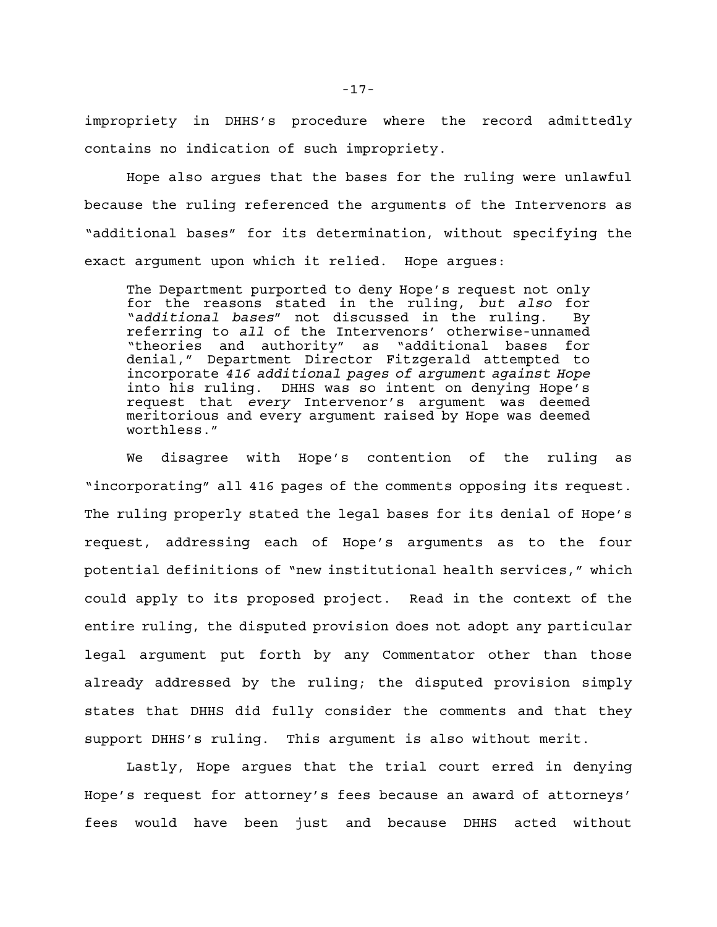impropriety in DHHS's procedure where the record admittedly contains no indication of such impropriety.

Hope also argues that the bases for the ruling were unlawful because the ruling referenced the arguments of the Intervenors as "additional bases" for its determination, without specifying the exact argument upon which it relied. Hope argues:

The Department purported to deny Hope's request not only for the reasons stated in the ruling, *but also* for "*additional bases*" not discussed in the ruling. By referring to *all* of the Intervenors' otherwise-unnamed "theories and authority" as "additional bases for denial," Department Director Fitzgerald attempted to incorporate *416 additional pages of argument against Hope* into his ruling. DHHS was so intent on denying Hope's request that *every* Intervenor's argument was deemed meritorious and every argument raised by Hope was deemed worthless."

We disagree with Hope's contention of the ruling as "incorporating" all 416 pages of the comments opposing its request. The ruling properly stated the legal bases for its denial of Hope's request, addressing each of Hope's arguments as to the four potential definitions of "new institutional health services," which could apply to its proposed project. Read in the context of the entire ruling, the disputed provision does not adopt any particular legal argument put forth by any Commentator other than those already addressed by the ruling; the disputed provision simply states that DHHS did fully consider the comments and that they support DHHS's ruling. This argument is also without merit.

Lastly, Hope argues that the trial court erred in denying Hope's request for attorney's fees because an award of attorneys' fees would have been just and because DHHS acted without

-17-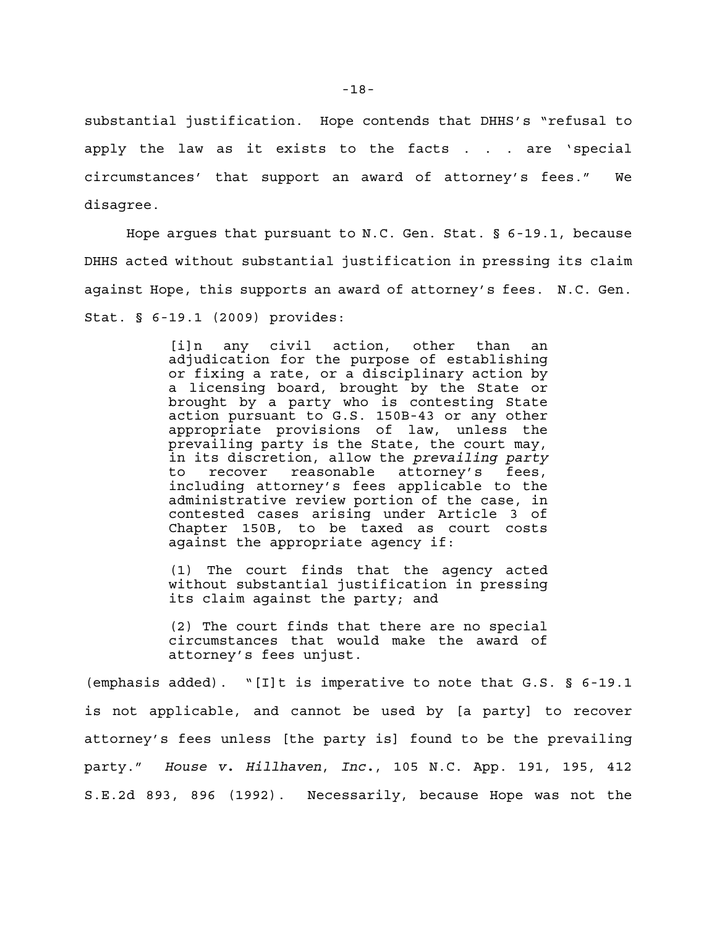substantial justification. Hope contends that DHHS's "refusal to apply the law as it exists to the facts . . . are 'special circumstances' that support an award of attorney's fees." We disagree.

Hope argues that pursuant to N.C. Gen. Stat. § 6-19.1, because DHHS acted without substantial justification in pressing its claim against Hope, this supports an award of attorney's fees. N.C. Gen. Stat. § 6-19.1 (2009) provides:

> [i]n any civil action, other than an adjudication for the purpose of establishing or fixing a rate, or a disciplinary action by a licensing board, brought by the State or brought by a party who is contesting State action pursuant to G.S. 150B-43 or any other appropriate provisions of law, unless the prevailing party is the State, the court may, in its discretion, allow the *prevailing party* to recover reasonable attorney's fees, including attorney's fees applicable to the administrative review portion of the case, in contested cases arising under Article 3 of Chapter 150B, to be taxed as court costs against the appropriate agency if:

> (1) The court finds that the agency acted without substantial justification in pressing its claim against the party; and

> (2) The court finds that there are no special circumstances that would make the award of attorney's fees unjust.

(emphasis added). "[I]t is imperative to note that G.S. § 6-19.1 is not applicable, and cannot be used by [a party] to recover attorney's fees unless [the party is] found to be the prevailing party." *House v. Hillhaven*, *Inc.*, 105 N.C. App. 191, 195, 412 S.E.2d 893, 896 (1992). Necessarily, because Hope was not the